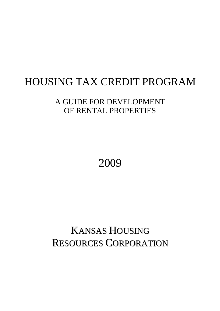# HOUSING TAX CREDIT PROGRAM

## A GUIDE FOR DEVELOPMENT OF RENTAL PROPERTIES

2009

# KANSAS HOUSING RESOURCES CORPORATION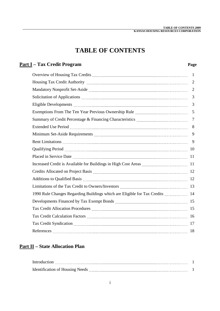## **TABLE OF CONTENTS**

### **Part I – Tax Credit Program Page**

|                                                                                                                                                                                                                                     | -1             |
|-------------------------------------------------------------------------------------------------------------------------------------------------------------------------------------------------------------------------------------|----------------|
|                                                                                                                                                                                                                                     | $\overline{2}$ |
|                                                                                                                                                                                                                                     | $\overline{2}$ |
|                                                                                                                                                                                                                                     | 3              |
|                                                                                                                                                                                                                                     | 3              |
| Exemptions From The Ten Year Previous Ownership Rule <b>Manual Acception</b> From The Ten Year Previous Ownership Rule                                                                                                              | 5              |
|                                                                                                                                                                                                                                     | $\overline{7}$ |
| Extended Use Period Marian Communication and Communication and Communication and Communication and Communication                                                                                                                    | 8              |
|                                                                                                                                                                                                                                     | 9              |
|                                                                                                                                                                                                                                     | 9              |
|                                                                                                                                                                                                                                     |                |
| Placed in Service Date <i>manual contract contract and service</i> Date and the manual contract and the contract of the                                                                                                             |                |
|                                                                                                                                                                                                                                     |                |
|                                                                                                                                                                                                                                     |                |
|                                                                                                                                                                                                                                     |                |
| Limitations of the Tax Credit to Owners/Investors <b>COVER 123</b> 13                                                                                                                                                               |                |
| 1990 Rule Changes Regarding Buildings which are Eligible for Tax Credits  14                                                                                                                                                        |                |
|                                                                                                                                                                                                                                     |                |
| Tax Credit Allocation Procedures Material Communications and the Material Communications and 15                                                                                                                                     |                |
| Tax Credit Calculation Factors <b>manually contained a contract and a</b> letteral and the left and the left and letteral letteral and letteral letteral letteral letteral letteral letteral letteral letteral letteral letteral le |                |
|                                                                                                                                                                                                                                     |                |
|                                                                                                                                                                                                                                     |                |
|                                                                                                                                                                                                                                     |                |

#### **Part II – State Allocation Plan**

| --------<br>.                                        |  |
|------------------------------------------------------|--|
| $\mathsf{I}$ ouging<br>teation of<br>$\Delta$<br>--- |  |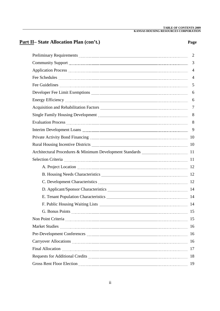### **Part II– State Allocation Plan (con't.) Page**

|                                                                                                                                                                                                                                      | 2              |
|--------------------------------------------------------------------------------------------------------------------------------------------------------------------------------------------------------------------------------------|----------------|
|                                                                                                                                                                                                                                      | 3              |
|                                                                                                                                                                                                                                      | $\overline{4}$ |
|                                                                                                                                                                                                                                      | $\overline{4}$ |
| Fee Guidelines <b>Manual Communist Communist Communist Communist Communist Communist Communist Communist Communist Communist Communist Communist Communist Communist Communist Communist Communist Communist Communist Communist</b> | 5              |
|                                                                                                                                                                                                                                      | 6              |
|                                                                                                                                                                                                                                      | 6              |
|                                                                                                                                                                                                                                      | $\overline{7}$ |
| Single Family Housing Development <b>Manual Accord Contract Contract Contract Contract Contract Contract Contract</b>                                                                                                                | 8              |
|                                                                                                                                                                                                                                      | 8              |
|                                                                                                                                                                                                                                      | 9              |
| Private Activity Bond Financing <b>Manual Communist Contract Contract Contract Contract Contract Contract Contract Contract Contract Contract Contract Contract Contract Contract Contract Contract Contract Contract Contract C</b> |                |
| Rural Housing Incentive Districts <b>Manual Accord 2018</b> 10                                                                                                                                                                       |                |
| Architectural Procedures & Minimum Development Standards [11] 11 11                                                                                                                                                                  |                |
|                                                                                                                                                                                                                                      |                |
| A. Project Location 2000 2000 2000 2000 2000 212                                                                                                                                                                                     |                |
| B. Housing Needs Characteristics Material Communications and the U.S. 12                                                                                                                                                             |                |
|                                                                                                                                                                                                                                      |                |
|                                                                                                                                                                                                                                      |                |
|                                                                                                                                                                                                                                      |                |
|                                                                                                                                                                                                                                      |                |
|                                                                                                                                                                                                                                      |                |
|                                                                                                                                                                                                                                      |                |
|                                                                                                                                                                                                                                      | 16             |
| Pre-Development Conferences <b>manually and the context of the Conference</b> 16                                                                                                                                                     |                |
| Carryover Allocations [16] Carryover Allocations [16] Manuscritt, 2014. The Carryover Allocations [16] Manuscritt, 2016                                                                                                              |                |
|                                                                                                                                                                                                                                      | 17             |
|                                                                                                                                                                                                                                      | 18             |
|                                                                                                                                                                                                                                      | 19             |
|                                                                                                                                                                                                                                      |                |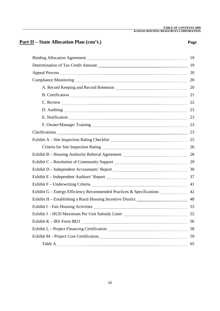#### **Part II – State Allocation Plan (con't.) Page**

| Compliance Monitoring 20 names are all the material contracts and the material contracts are all the contracts of the contracts of the contracts of the contracts of the contracts of the contracts of the contracts of the co |  |
|--------------------------------------------------------------------------------------------------------------------------------------------------------------------------------------------------------------------------------|--|
|                                                                                                                                                                                                                                |  |
| B. Certification 21                                                                                                                                                                                                            |  |
| C. Review 22                                                                                                                                                                                                                   |  |
| D. Auditing 23                                                                                                                                                                                                                 |  |
| E. Notification 23                                                                                                                                                                                                             |  |
|                                                                                                                                                                                                                                |  |
| Clarifications 23                                                                                                                                                                                                              |  |
|                                                                                                                                                                                                                                |  |
| Criteria for Site Inspection Rating [11] 26 [21] 26 [21] 27 [21] 28 [21] 28 [21] 28 [21] 29 [21] 28 [21] 29 [21] 29 [21] 29 [21] 29 [21] 29 [21] 29 [21] 29 [21] 29 [21] 29 [21] 29 [21] 29 [21] 29 [21] 29 [21] 29 [21] 29 [2 |  |
| Exhibit B - Housing Authority Referral Agreement <b>Manual Accord 28</b> 28                                                                                                                                                    |  |
|                                                                                                                                                                                                                                |  |
|                                                                                                                                                                                                                                |  |
| Exhibit E - Independent Auditors' Report <b>Manual Australian Contract Street Street</b> 37                                                                                                                                    |  |
| Exhibit F - Underwriting Criteria <b>Martin Communication and Strategier</b> 41                                                                                                                                                |  |
| Exhibit G – Energy Efficiency Recommended Practices & Specifications <b>EXALLECT:</b> 42                                                                                                                                       |  |
| Exhibit H - Establishing a Rural Housing Incentive District [11] [12] [23] 48                                                                                                                                                  |  |
| Exhibit I - Fair Housing Activities <b>Manual Activities</b> 53                                                                                                                                                                |  |
|                                                                                                                                                                                                                                |  |
|                                                                                                                                                                                                                                |  |
| Exhibit L - Project Financing Certification <i>manual content content content content</i> 58                                                                                                                                   |  |
|                                                                                                                                                                                                                                |  |
|                                                                                                                                                                                                                                |  |